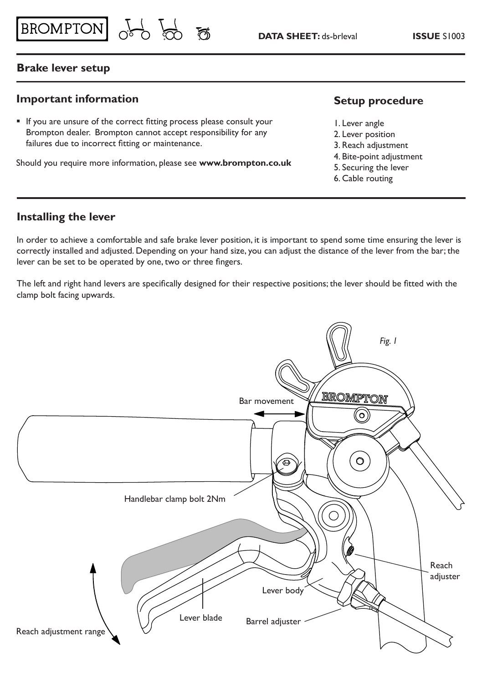### **Brake lever setup**

### **Important information**

 If you are unsure of the correct fitting process please consult your Brompton dealer. Brompton cannot accept responsibility for any failures due to incorrect fitting or maintenance.

BROMPTON of 8

Should you require more information, please see **www.brompton.co.uk**

### **Setup procedure**

- 1. Lever angle
- 2. Lever position
- 3. Reach adjustment
- 4. Bite-point adjustment
- 5. Securing the lever
- 6. Cable routing

### **Installing the lever**

In order to achieve a comfortable and safe brake lever position, it is important to spend some time ensuring the lever is correctly installed and adjusted. Depending on your hand size, you can adjust the distance of the lever from the bar; the lever can be set to be operated by one, two or three fingers.

The left and right hand levers are specifically designed for their respective positions; the lever should be fitted with the clamp bolt facing upwards.